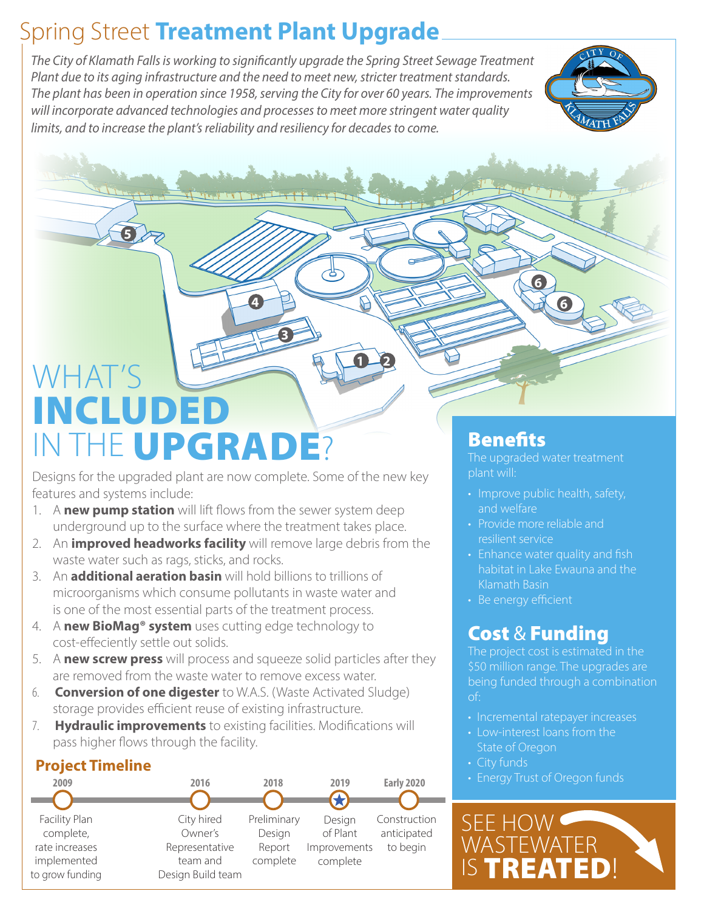### Spring Street **Treatment Plant Upgrade**

*The City of Klamath Falls is working to significantly upgrade the Spring Street Sewage Treatment Plant due to its aging infrastructure and the need to meet new, stricter treatment standards. The plant has been in operation since 1958, serving the City for over 60 years. The improvements will incorporate advanced technologies and processes to meet more stringent water quality limits, and to increase the plant's reliability and resiliency for decades to come.*

**3**

**4**

**1 2**



# WHAT'S INCLUDED IN THE UPGRADE?

**5**

Designs for the upgraded plant are now complete. Some of the new key features and systems include:

- 1. A **new pump station** will lift flows from the sewer system deep underground up to the surface where the treatment takes place.
- 2. An **improved headworks facility** will remove large debris from the waste water such as rags, sticks, and rocks.
- 3. An **additional aeration basin** will hold billions to trillions of microorganisms which consume pollutants in waste water and is one of the most essential parts of the treatment process.
- 4. A **new BioMag® system** uses cutting edge technology to cost-effeciently settle out solids.
- 5. A **new screw press** will process and squeeze solid particles after they are removed from the waste water to remove excess water.
- 6. **Conversion of one digester** to W.A.S. (Waste Activated Sludge) storage provides efficient reuse of existing infrastructure.
- 7. **Hydraulic improvements** to existing facilities. Modifications will pass higher flows through the facility.

#### **Project Timeline**



### **Benefits**

The upgraded water treatment plant will:

**6**

**6**

- Improve public health, safety, and welfare
- Provide more reliable and resilient service
- Enhance water quality and fish habitat in Lake Ewauna and the Klamath Basin
- Be energy efficient

### Cost & Funding

The project cost is estimated in the \$50 million range. The upgrades are being funded through a combination of:

- Incremental ratepayer increases
- Low-interest loans from the State of Oregon
- City funds
- Energy Trust of Oregon funds